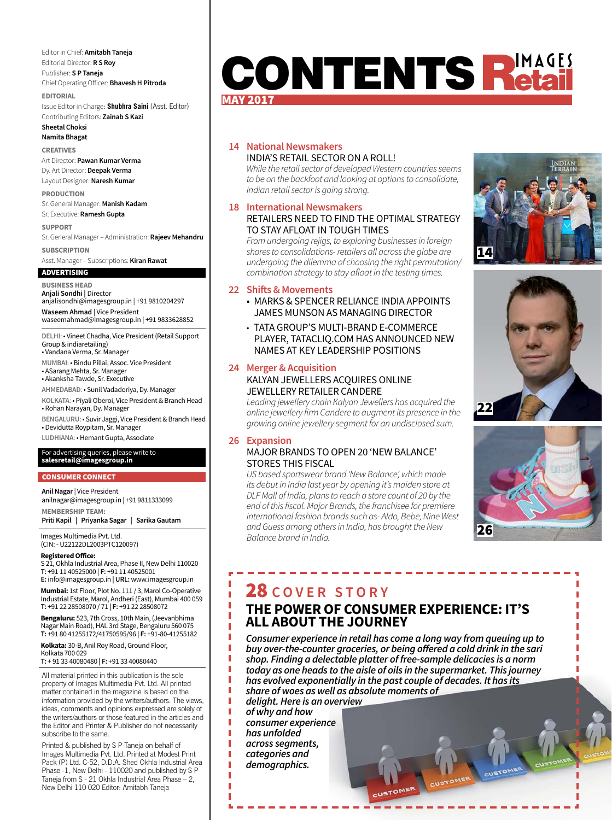Editor in Chief: **Amitabh Taneja** Editorial Director: **R S Roy** Publisher: **S P Taneja** Chief Operating Officer: **Bhavesh H Pitroda** 

**EDITORIAL** 

Issue Editor in Charge: **Shubhra Saini** (Asst. Editor) Contributing Editors: **Zainab S Kazi**

**Sheetal Choksi Namita Bhagat**

**CREATIVES**

Art Director: **Pawan Kumar Verma** Dy. Art Director: **Deepak Verma** Layout Designer: **Naresh Kumar**

**PRODUCTION** Sr. General Manager: **Manish Kadam** Sr. Executive: **Ramesh Gupta**

**SUPPORT**

Sr. General Manager – Administration: **Rajeev Mehandru SUBSCRIPTION**

Asst. Manager – Subscriptions: **Kiran Rawat**

# ADVERTISING

**BUSINESS HEAD Anjali Sondhi |** Director anjalisondhi@imagesgroup.in | +91 9810204297

**Waseem Ahmad** | Vice President waseemahmad@imagesgroup.in | +91 9833628852

**DELHI**: • Vineet Chadha, Vice President (Retail Support Group & indiaretailing)

• Vandana Verma, Sr. Manager **MUMBAI**: • Bindu Pillai, Assoc. Vice President

• ASarang Mehta, Sr. Manager

• Akanksha Tawde, Sr. Executive

**AHMEDABAD** : • Sunil Vadadoriya, Dy. Manager **KOLKATA**: • Piyali Oberoi, Vice President & Branch Head • Rohan Narayan, Dy. Manager

**BENGALURU**: • Suvir Jaggi, Vice President & Branch Head • Devidutta Roypitam, Sr. Manager

**LUDHIANA**: • Hemant Gupta, Associate

# For advertising queries, please write to **salesretail@imagesgroup.in**

### CONSUMER CONNECT

**Anil Nagar** | Vice President anilnagar@imagesgroup.in | +91 9811333099 **MEMBERSHIP TEAM:**

**Priti Kapil | Priyanka Sagar | Sarika Gautam**

Images Multimedia Pvt. Ltd. (CIN: - U22122DL2003PTC120097)

**Registered Office:** 

S 21, Okhla Industrial Area, Phase II, New Delhi 110020 **T:** +91 11 40525000 **| F:** +91 11 40525001 **E:** info@imagesgroup.in **| URL:** www.imagesgroup.in

**Mumbai:** 1st Floor, Plot No. 111 / 3, Marol Co-Operative Industrial Estate, Marol, Andheri (East), Mumbai 400 059 **T:** +91 22 28508070 / 71 **| F:** +91 22 28508072

**Bengaluru:** 523, 7th Cross, 10th Main, (Jeevanbhima Nagar Main Road), HAL 3rd Stage, Bengaluru 560 075 **T:** +91 80 41255172/41750595/96 **| F:** +91-80-41255182

**Kolkata:** 30-B, Anil Roy Road, Ground Floor, Kolkata 700 029 **T:** + 91 33 40080480 **| F:** +91 33 40080440

All material printed in this publication is the sole

property of Images Multimedia Pvt. Ltd. All printed matter contained in the magazine is based on the information provided by the writers/authors. The views, ideas, comments and opinions expressed are solely of the writers/authors or those featured in the articles and the Editor and Printer & Publisher do not necessarily subscribe to the same.

Printed & published by S P Taneja on behalf of Images Multimedia Pvt. Ltd. Printed at Modest Print Pack (P) Ltd. C-52, D.D.A. Shed Okhla Industrial Area Phase -1, New Delhi - 110020 and published by S P Taneja from S - 21 Okhla Industrial Area Phase – 2, New Delhi 110 020 Editor: Amitabh Taneja

# **CONTENTS** MAY 2017

#### **14 National Newsmakers** INDIA'S RETAIL SECTOR ON A ROLL!

 While the retail sector of developed Western countries seems to be on the backfoot and looking at options to consolidate, Indian retail sector is going strong.

### **18 International Newsmakers** RETAILERS NEED TO FIND THE OPTIMAL STRATEGY TO STAY AFLOAT IN TOUGH TIMES

 From undergoing rejigs, to exploring businesses in foreign shores to consolidations- retailers all across the globe are undergoing the dilemma of choosing the right permutation/ combination strategy to stay afloat in the testing times.

### **22 Shifts & Movements**

- MARKS & SPENCER RELIANCE INDIA APPOINTS JAMES MUNSON AS MANAGING DIRECTOR
- TATA GROUP'S MULTI-BRAND E-COMMERCE PLAYER, TATACLIQ.COM HAS ANNOUNCED NEW NAMES AT KEY LEADERSHIP POSITIONS

## **24 Merger & Acquisition**

# KALYAN JEWELLERS ACQUIRES ONLINE JEWELLERY RETAILER CANDERE

 Leading jewellery chain Kalyan Jewellers has acquired the online jewellery firm Candere to augment its presence in the growing online jewellery segment for an undisclosed sum.

### **26 Expansion**

ī ī

Π ī П ı r ī ï Ī Ī ī П

п

### MAJOR BRANDS TO OPEN 20 'NEW BALANCE' STORES THIS FISCAL

 US based sportswear brand 'New Balance', which made its debut in India last year by opening it's maiden store at DLF Mall of India, plans to reach a store count of 20 by the end of this fiscal. Major Brands, the franchisee for premiere international fashion brands such as- Aldo, Bebe, Nine West and Guess among others in India, has brought the New Balance brand in India.







# 28 **COVER STORY**

# **THE POWER OF CONSUMER EXPERIENCE: IT'S ALL ABOUT THE JOURNEY**

**Consumer experience in retail has come a long way from queuing up to**  buy over-the-counter groceries, or being offered a cold drink in the sari **shop. Finding a delectable platter of free-sample delicacies is a norm today as one heads to the aisle of oils in the supermarket. This journey has evolved exponentially in the past couple of decades. It has its share of woes as well as absolute moments of** 

**CUSTOMER** 

- **delight. Here is an overview**
- **of why and how**
- **consumer experience**
- **has unfolded**
- **across segments,**
- **categories and**
- **demographics.**